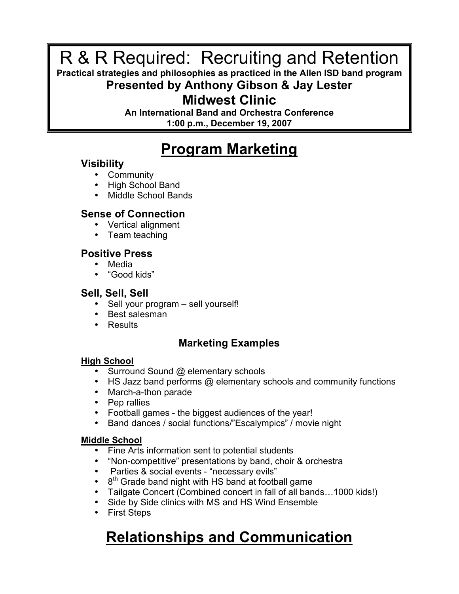### R & R Required: Recruiting and Retention

#### **Practical strategies and philosophies as practiced in the Allen ISD band program**

#### **Presented by Anthony Gibson & Jay Lester**

#### **Midwest Clinic**

**An International Band and Orchestra Conference 1:00 p.m., December 19, 2007**

### **Program Marketing**

#### **Visibility**

- Community
- High School Band
- Middle School Bands

#### **Sense of Connection**

- Vertical alignment
- Team teaching

#### **Positive Press**

- Media
- "Good kids"

#### **Sell, Sell, Sell**

- Sell your program sell yourself!
- Best salesman
- Results

#### **Marketing Examples**

#### **High School**

- Surround Sound @ elementary schools
- HS Jazz band performs @ elementary schools and community functions
- March-a-thon parade
- Pep rallies
- Football games the biggest audiences of the year!
- Band dances / social functions/"Escalympics" / movie night

#### **Middle School**

- Fine Arts information sent to potential students
- "Non-competitive" presentations by band, choir & orchestra
- Parties & social events "necessary evils"
- $\cdot$  8<sup>th</sup> Grade band night with HS band at football game
- Tailgate Concert (Combined concert in fall of all bands…1000 kids!)
- Side by Side clinics with MS and HS Wind Ensemble
- First Steps

### **Relationships and Communication**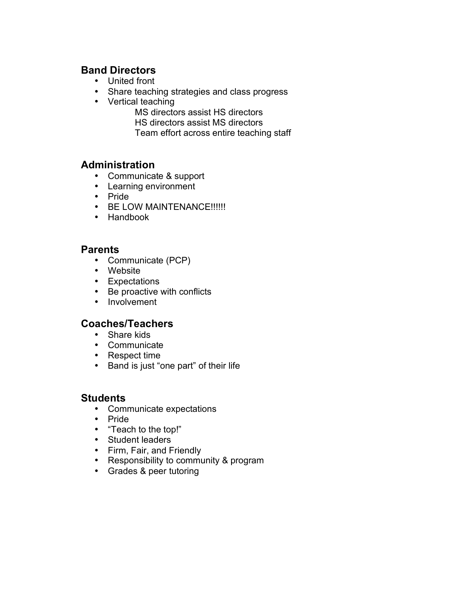#### **Band Directors**

- United front
- Share teaching strategies and class progress
- Vertical teaching
	- MS directors assist HS directors HS directors assist MS directors
	- Team effort across entire teaching staff

#### **Administration**

- Communicate & support
- Learning environment
- Pride
- BE LOW MAINTENANCE!!!!!!
- Handbook

#### **Parents**

- Communicate (PCP)
- Website
- Expectations
- Be proactive with conflicts
- Involvement

#### **Coaches/Teachers**

- Share kids
- Communicate
- Respect time
- Band is just "one part" of their life

#### **Students**

- Communicate expectations
- Pride
- "Teach to the top!"
- Student leaders
- Firm, Fair, and Friendly
- Responsibility to community & program
- Grades & peer tutoring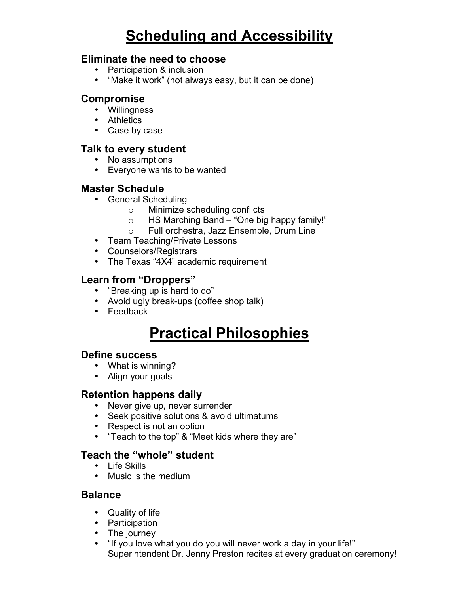### **Scheduling and Accessibility**

#### **Eliminate the need to choose**

- Participation & inclusion
- "Make it work" (not always easy, but it can be done)

#### **Compromise**

- Willingness
- Athletics
- Case by case

#### **Talk to every student**

- No assumptions
- Everyone wants to be wanted

#### **Master Schedule**

- General Scheduling
	- o Minimize scheduling conflicts
	- o HS Marching Band "One big happy family!"
	- o Full orchestra, Jazz Ensemble, Drum Line
- Team Teaching/Private Lessons
- Counselors/Registrars
- The Texas "4X4" academic requirement

#### **Learn from "Droppers"**

- "Breaking up is hard to do"
- Avoid ugly break-ups (coffee shop talk)
- Feedback

### **Practical Philosophies**

#### **Define success**

- What is winning?
- Align your goals

#### **Retention happens daily**

- Never give up, never surrender
- Seek positive solutions & avoid ultimatums
- Respect is not an option
- "Teach to the top" & "Meet kids where they are"

#### **Teach the "whole" student**

- Life Skills
- Music is the medium

#### **Balance**

- Quality of life
- Participation
- The journey
- "If you love what you do you will never work a day in your life!" Superintendent Dr. Jenny Preston recites at every graduation ceremony!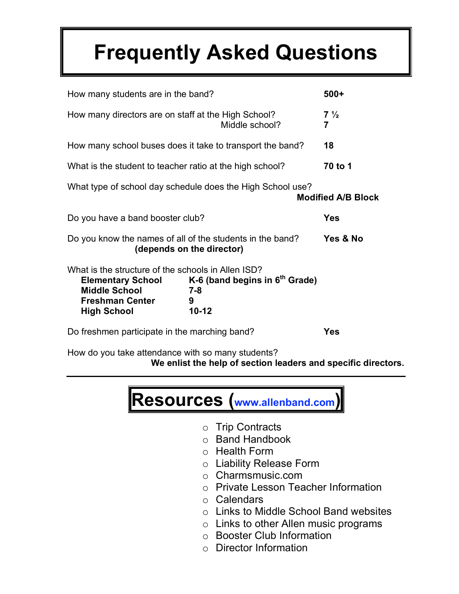## **Frequently Asked Questions**

| How many students are in the band?                                                                                         |                                                                                        | $500+$                    |
|----------------------------------------------------------------------------------------------------------------------------|----------------------------------------------------------------------------------------|---------------------------|
| How many directors are on staff at the High School?                                                                        | Middle school?                                                                         | $7\frac{1}{2}$<br>7       |
| How many school buses does it take to transport the band?                                                                  |                                                                                        | 18                        |
| What is the student to teacher ratio at the high school?                                                                   |                                                                                        | 70 to 1                   |
|                                                                                                                            | What type of school day schedule does the High School use?                             | <b>Modified A/B Block</b> |
| Do you have a band booster club?                                                                                           |                                                                                        | <b>Yes</b>                |
|                                                                                                                            | Do you know the names of all of the students in the band?<br>(depends on the director) | Yes & No                  |
| What is the structure of the schools in Allen ISD?<br><b>Middle School</b><br><b>Freshman Center</b><br><b>High School</b> | Elementary School K-6 (band begins in $6th$ Grade)<br>$7 - 8$<br>9<br>$10 - 12$        |                           |
| Do freshmen participate in the marching band?                                                                              |                                                                                        | Yes                       |

How do you take attendance with so many students?

**We enlist the help of section leaders and specific directors.**



- o Trip Contracts
- o Band Handbook
- o Health Form
- o Liability Release Form
- o Charmsmusic.com
- o Private Lesson Teacher Information
- o Calendars
- o Links to Middle School Band websites
- o Links to other Allen music programs
- o Booster Club Information
- o Director Information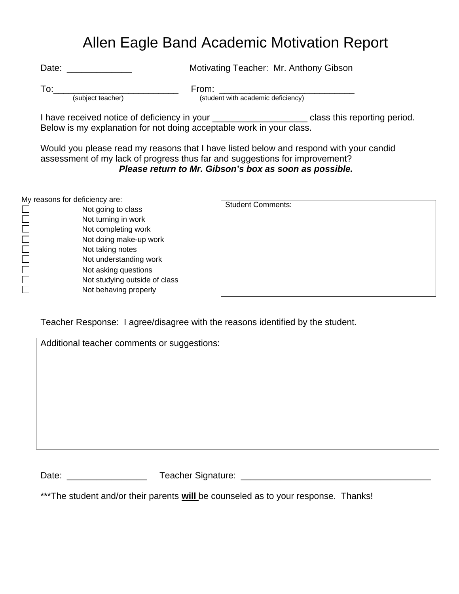### Allen Eagle Band Academic Motivation Report

Date: \_\_\_\_\_\_\_\_\_\_\_\_\_ Motivating Teacher: Mr. Anthony Gibson

(subject teacher) (student with academic deficiency)

To:\_\_\_\_\_\_\_\_\_\_\_\_\_\_\_\_\_\_\_\_\_\_\_\_\_ From: \_\_\_\_\_\_\_\_\_\_\_\_\_\_\_\_\_\_\_\_\_\_\_\_\_\_\_

I have received notice of deficiency in your **with the set of the class** this reporting period. Below is my explanation for not doing acceptable work in your class.

Would you please read my reasons that I have listed below and respond with your candid assessment of my lack of progress thus far and suggestions for improvement? *Please return to Mr. Gibson's box as soon as possible.*

| My reasons for deficiency are: |
|--------------------------------|
| Not going to class             |
| Not turning in work            |
| Not completing work            |
| Not doing make-up work         |
| Not taking notes               |
| Not understanding work         |
| Not asking questions           |
| Not studying outside of class  |
| Not behaving properly          |

| Student Comments: |  |  |
|-------------------|--|--|
|                   |  |  |
|                   |  |  |
|                   |  |  |
|                   |  |  |
|                   |  |  |

Teacher Response: I agree/disagree with the reasons identified by the student.

|       | Additional teacher comments or suggestions: |  |
|-------|---------------------------------------------|--|
|       |                                             |  |
|       |                                             |  |
|       |                                             |  |
|       |                                             |  |
|       |                                             |  |
|       |                                             |  |
|       |                                             |  |
|       |                                             |  |
| Date: | Teacher Signature:                          |  |

\*\*\*The student and/or their parents **will** be counseled as to your response. Thanks!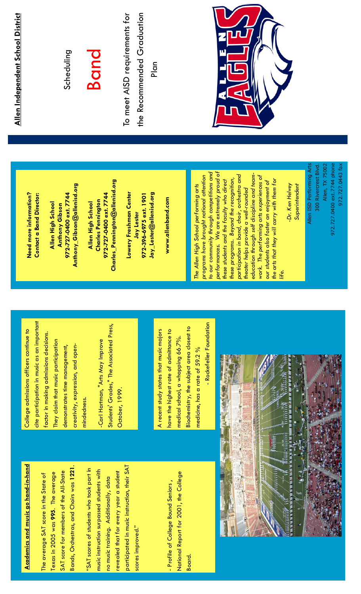**Academics and music go hand-in-hand** Academics and music go hand-in-hand

Bands, Orchestras, and Choirs was 1221. Bands, Orchestras, and Choirs was 1221. SAT score for members of the All-State SAT score for members of the All-State Texas in 2005 was 995. The average Texas in 2005 was 995. The average The average SAT score in the State of The average SAT score in the State of

participated in music instruction, their SAT participated in music instruction, their SAT "SAT scores of students who took part in "SAT scores of students who took part in music instruction surpassed students with music instruction surpassed students with revealed that for every year a student revealed that for every year a student no music training. Additionally, data no music training. Additionally, data scores improved." scores improved."

National Report for 2001, the College National Report for 2001, the College - Profile of College Bound Seniors, - Profile of College Bound Seniors , Board.

cite participation in music as an important cite participation in music as an important College admissions officers continue to College admissions officers continue to factor in making admissions decisions. factor in making admissions decisions. They claim that music participation They claim that music participation creativity, expression, and opendemonstrates time management, demonstrates time management, creativity, expression, and openmindedness. mindedness.

Students' Grades," The Associated Press, Students' Grades," The Associated Press, -Carl Hartman, "Arts May Improve -Carl Hartman, "Arts May Improve October, 1999. October, 1999.

 - Rockefeller Foundation Rockefeller Foundation Biochemistry, the subject area closest to Biochemistry, the subject area closest to A recent study states that music majors A recent study states that music majors have the highest rate of admittance to have the highest rate of admittance to medical school, a whopping 66.7%. medical school, a whopping 66.7%. medicine, has a rate of 59.2 % medicine, has a rate of 59.2 %



Need more information? Need more information? **Contact a Band Director:** Contact a Band Director:

Anthony\_Gibson@allenisd.org Anthony\_Gibson@allenisd.org 972-727-0400 ext. 7744 972-727-0400 ext. 7744 Allen High School Allen High School **Anthony Gibson** Anthony Gibson

Charles\_Pennington@allenisd.org Charles\_Pennington@allenisd.org 972-727-0400 ext. 7744 972-727-0400 ext. 7744 **Charles Pennington** Charles Pennington Allen High School Allen High School

Lowery Freshman Center Jay\_Lester@allenisd.org Lowery Freshman Center 972-396-6975 ext. 1901 Jay\_Lester@allenisd.org 972-396-6975 ext. 1901 Jay Lester

www.allenband.com www.allenband.com

to our community through competitions and performances. We are extremely proud of performances. We are extremely proud of to our community through competitions and participation in band, choir, orchestra and programs have brought national attention education through self discipline and teameducation through self discipline and teamwork. The performing arts experiences of programs have brought national attention participation in band, choir, orchestra and work. The performing arts experiences of these programs. Beyond the recognition, the arts that they will carry with them for these programs. Beyond the recognition, these students and the faculty who direct the arts that they will carry with them for these students and the faculty who direct our students also foster an enjoyment of our students also foster an enjoyment of The Allen High School performing arts -Dr. Ken Helvey The Allen High School performing arts theater helps provide a well-rounded theater helps provide a well-rounded life.

Allen ISD Performing Arts 300 Rivercrest Blvd. Allen, TX 75002 Allen ISD Performing Arts 972.727.0400 ext.7744 phone 972.727.0443 fax Allen, TX 75002 972.727.0443 fax 972.727.0400 ext.7744 phone 300 Rivercrest Blvd

 -Dr. Ken Helvey Superintendent

Superintendent

Allen Independent School District Allen Independent School District

# **Band**

Scheduling

To meet AISD requirements for the Recommended Graduation the Recommended Graduation To meet AISD requirements for

Plan

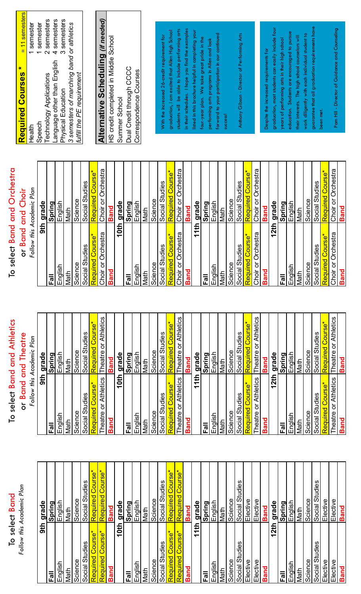# To select Band<br>Follow this Academic Plan Follow this Academic Plan

To select Band and Athletics

To select Band and Athletics

| 9th                                         | grade             |
|---------------------------------------------|-------------------|
| 등                                           | Spring            |
| English                                     | English           |
| Math                                        | Math              |
| Science                                     | Science           |
| Social Studies                              | Social Studies    |
| Required Course*                            | Required Course*  |
| Required Course*                            | Required Course*  |
| <b>Band</b>                                 | <b>Band</b>       |
| 10th                                        | grade             |
| Fall                                        | <b>Spring</b>     |
| English                                     | English           |
| Math                                        | Math              |
| Science                                     | Science           |
| Social Studies                              | Social Studies    |
| Required Course*                            | Required Course*  |
| Required Course*                            | Required Course*  |
| <b>Band</b>                                 | <b>Band</b>       |
| 11th                                        | grade             |
|                                             | Spring            |
| English                                     | English           |
| Math                                        | Math              |
| Science                                     | Science           |
| Studies<br>Social                           | Studies<br>Social |
| Elective                                    | Elective          |
| Elective                                    | Elective          |
| <b>Band</b>                                 | <b>Band</b>       |
| 2 <sup>th</sup><br>$\overline{\phantom{0}}$ | grade             |
| 高                                           | Spring            |
| English                                     | English           |
| Math                                        | Math              |
| Science                                     | Science           |
| Social Studies                              | Social Studies    |
| Elective                                    | Elective          |
| Elective                                    | Elective          |
| <b>Band</b>                                 | <b>Band</b>       |

| or Band and Theatre<br>Follow this Academic Plan | grade | Spring | English | Math | Science | Social Studies | Required Course* | Theatre or Athletics | <b>Band</b> | grade       | <b>Spring</b> | English | Math | Science | Social Studies | Required Course* | Theatre or Athletics | <b>Band</b> | grade | Spring  | English | Math | Science | Social Studies | Required Course*             | Theatre or Athletics | <b>Band</b> | grade | Spring | English | Math | <b>Science</b> | Social Studies | Required Course*             |  |
|--------------------------------------------------|-------|--------|---------|------|---------|----------------|------------------|----------------------|-------------|-------------|---------------|---------|------|---------|----------------|------------------|----------------------|-------------|-------|---------|---------|------|---------|----------------|------------------------------|----------------------|-------------|-------|--------|---------|------|----------------|----------------|------------------------------|--|
|                                                  | 9th   | Fall   | English | Math | Science | Social Studies | Required Course* | Theatre or Athletics | <b>Band</b> | <b>10th</b> |               | English | Math | Science | Social Studies | Required Course* | Theatre or Athletics | <b>Band</b> | 11th  | $Fa$ ll | English | Math | Science | Social Studies | Required Course <sup>*</sup> | Theatre or Athletics | <b>Band</b> | 12th  |        | English | Math | Science        | Social Studies | Required Course <sup>*</sup> |  |

# To select Band and Orchestra To select Band and Orchestra

or Band and Choir or Band and Choir

| Follow this Academic Plan  |                            |
|----------------------------|----------------------------|
| 9fb                        | grade                      |
| Fall                       | Spring                     |
| English                    | English                    |
| Math                       | Math                       |
| Science                    | Science                    |
| Social Studies             | Social Studies             |
| Required Course*           | Required Course*           |
| Choir or Orchestra         | Choir or Orchestra         |
| <b>Band</b>                | <b>Band</b>                |
| 10th                       | grade                      |
| $\overline{F}$ all         | Spring                     |
| English                    | English                    |
| Math                       | Math                       |
| Science                    | Science                    |
| Social Studies             | Social Studies             |
| Required Course*           | Required Course*           |
| Choir or Orchestra         | Choir or Orchestra         |
| <b>Band</b>                | <b>Band</b>                |
| 11th                       | grade                      |
| Fall                       | Spring                     |
| English                    | English                    |
| Math                       | Math                       |
| Science                    | Science                    |
| Social Studies             | Social Studies             |
| Required Course*           | Required Course*           |
| Choir or Orchestra         | Choir or Orchestra         |
| <b>Band</b>                | <b>Band</b>                |
| 12 <sup>th</sup>           | grade                      |
| Fall                       | <b>Spring</b>              |
| English                    | English                    |
| Math                       | Math                       |
| Science                    | Science                    |
| Social Studies             | Social Studies             |
| Course*<br><u>Required</u> | Course*<br><u>Required</u> |
| or Orchestra<br>Choir      | or Orchestra<br>Choir      |
| <b>Band</b>                | <b>Band</b>                |

| Required Courses *                        | = 11 semesters |
|-------------------------------------------|----------------|
| Health                                    | 1 semester     |
| Speech                                    | semester       |
| Technology Applications                   | 2 semesters    |
| Language other than English               | 4 semesters    |
| Physical Education                        | 3 semesters    |
| 3 semesters of marching band or athletics |                |
| fulfill the PE requirement                |                |
|                                           |                |

# Alternative Scheduling (if needed) Alternative Scheduling *(if needed)*

HS credit completed in Middle School HS credit completed in Middle School Dual Credit through CCCC Dual Credit through CCCC Correspondence Courses Correspondence Courses Summer School Summer School

students will be able to include performing arts in their schedules. I hope you find the examples listed in this brochure helpful in completing your graduation, I am excited that Allen High School students will be able to include performing arts in their schedules. I hope you find the examples graduation, I am excited that Allen High School listed in this brochure helpful in completing your forward to your participation in our continued forward to your participation in our continued With the increased 26-credit requirement for With the increased 26-credit requirement for four-year plan. We take great pride in the four-year plan. We take great pride in the performing arts programs in Allen and look performing arts programs in Allen and look success!

Anthony Gibson - Director of Performing Arts Anthony Gibson - Director of Performing Arts

guarantee that all graduation requirements have graduation, most students can easily include four guarantee that all graduation requirements have graduation, most students can easily include four education. Students are encouraged to pursue education. Students are encouraged to pursue work diligently with each individual student to work diligently with each individual student to their interests. The high school counselors will their interests. The high school counselors will years of performing arts in their high school years of performing arts in their high school Despite the increased requirements for Despite the increased requirements for been met.

Pam Hill - Director of Guidance and Counseling Pam Hill - Director of Guidance and Counseling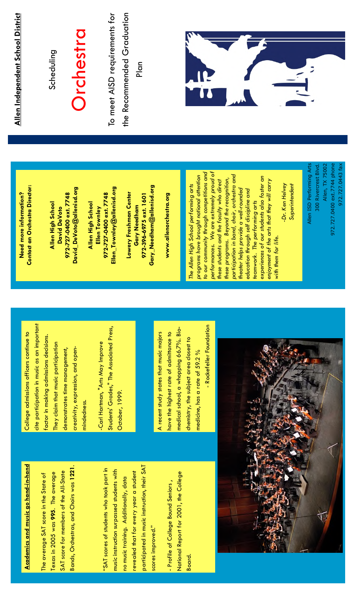# **Academics and music go hand-in-hand** Academics and music go hand-in-hand

Bands, Orchestras, and Choirs was 1221. Bands, Orchestras, and Choirs was 1221. SAT score for members of the All-State SAT score for members of the All-State Texas in 2005 was 995. The average Texas in 2005 was 995. The average The average SAT score in the State of The average SAT score in the State of

participated in music instruction, their SAT participated in music instruction, their SAT "SAT scores of students who took part in "SAT scores of students who took part in music instruction surpassed students with music instruction surpassed students with revealed that for every year a student revealed that for every year a student no music training. Additionally, data no music training. Additionally, data scores improved." scores improved."

National Report for 2001, the College National Report for 2001, the College - Profile of College Bound Seniors, - Profile of College Bound Seniors , Board.

cite participation in music as an important cite participation in music as an important College admissions officers continue to College admissions officers continue to factor in making admissions decisions. factor in making admissions decisions. They claim that music participation They claim that music participation demonstrates time management, demonstrates time management, creativity, expression, and opencreativity, expression, and openmindedness. mindedness.

Students' Grades," The Associated Press, Students' Grades," The Associated Press, Carl Hartman, "Arts May Improve -Carl Hartman, "Arts May Improve October, 1999. October, 1999.

- Rockefeller Foundation - Rockefeller Foundation medical school, a whopping 66.7%. Biomedical school, a whopping 66.7%. Bio-A recent study states that music majors have the highest rate of admittance to have the highest rate of admittance to A recent study states that music majors chemistry, the subject area closest to chemistry, the subject area closest to medicine, has a rate of 59.2 % medicine, has a rate of 59.2 %



Contact an Orchestra Director: **Contact an Orchestra Director:** Need more information? Need more information?

David\_DeVoto@allenisd.org David\_DeVoto@allenisd.org 972-727-0400 ext. 7748 972-727-0400 ext. 7748 Allen High School Allen High School David DeVoto David DeVoto

Ellen\_Townley@allenisd.org Ellen\_Townley@allenisd.org 972-727-0400 ext. 7748 972-727-0400 ext. 7748 Allen High School Allen High School Ellen Townley Ellen Townley

Gary\_Needham@allenisd.org Gary\_Needham@allenisd.org **Lowery Freshman Center** Lowery Freshman Center 972-396-6975 ext. 1601 972-396-6975 ext. 1601 **Gary Needham** Gary Needham

www.allenorchestra.org www.allenorchestra.org

to our community through competitions and performances. We are extremely proud of performances. We are extremely proud of to our community through competitions and participation in band, choir, orchestra and programs have brought national attention programs have brought national attention participation in band, choir, orchestra and experiences of our students also foster an experiences of our students also foster an these programs. Beyond the recognition, these programs. Beyond the recognition, enjoyment of the arts that they will carry enjoyment of the arts that they will carry these students and the faculty who direct these students and the faculty who direct -Dr. Ken Helvey The Allen High School performing arts The Allen High School performing arts Dr. Ken Helvey theater helps provide a well-rounded theater helps provide a well-rounded education through self discipline and education through self discipline and teamwork. The performing arts teamwork. The performing arts with them for life. with them for life.

Allen ISD Performing Arts 300 Rivercrest Blvd. Allen, TX 75002 Allen ISD Performing Arts 972.727.0400 ext.7744 phone Allen, TX 75002 972.727.0400 ext.7744 phone 300 Rivercrest Blvd

Superintendent

Superintendent

972.727.0443 fax

972.727.0443 fax

Allen Independent School District Allen Independent School District

# Scheduling

# **Orchestra**

To meet AISD requirements for the Recommended Graduation the Recommended Graduation To meet AISD requirements for Plan